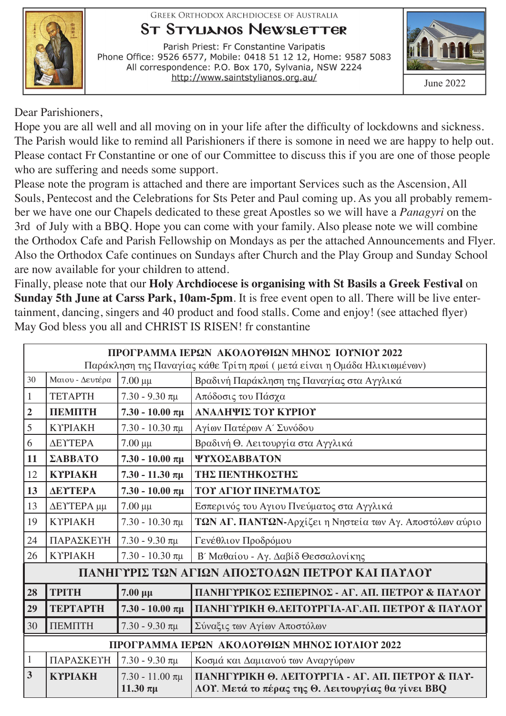**GREEK ORTHODOX ARCHDIOCESE OF AUSTRALIA** 

#### **ST STYLIANOS NEWSLETTER**

Parish Priest: Fr Constantine Varipatis Phone Office: 9526 6577, Mobile: 0418 51 12 12, Home: 9587 5083 All correspondence: P.O. Box 170, Sylvania, NSW 2224 http://www.saintstylianos.org.au/



Dear Parishioners,

Hope you are all well and all moving on in your life after the difficulty of lockdowns and sickness. The Parish would like to remind all Parishioners if there is somone in need we are happy to help out. Please contact Fr Constantine or one of our Committee to discuss this if you are one of those people who are suffering and needs some support.

Please note the program is attached and there are important Services such as the Ascension, All Souls, Pentecost and the Celebrations for Sts Peter and Paul coming up. As you all probably remember we have one our Chapels dedicated to these great Apostles so we will have a *Panagyri* on the 3rd of July with a BBQ. Hope you can come with your family. Also please note we will combine the Orthodox Cafe and Parish Fellowship on Mondays as per the attached Announcements and Flyer. Also the Orthodox Cafe continues on Sundays after Church and the Play Group and Sunday School are now available for your children to attend.

Finally, please note that our **Holy Archdiocese is organising with St Basils a Greek Festival** on **Sunday 5th June at Carss Park, 10am-5pm**. It is free event open to all. There will be live entertainment, dancing, singers and 40 product and food stalls. Come and enjoy! (see attached flyer) May God bless you all and CHRIST IS RISEN! fr constantine

|                                                                         | ΠΡΟΓΡΑΜΜΑ ΙΕΡΩΝ ΑΚΟΛΟΥΘΙΩΝ ΜΗΝΟΣ ΙΟΥΝΙΟΥ 2022 |                                    |                                                                                                        |  |  |  |
|-------------------------------------------------------------------------|-----------------------------------------------|------------------------------------|--------------------------------------------------------------------------------------------------------|--|--|--|
| Παράκληση της Παναγίας κάθε Τρίτη πρωί (μετά είναι η Ομάδα Ηλικιωμένων) |                                               |                                    |                                                                                                        |  |  |  |
| 30                                                                      | Μαιου - Δευτέρα                               | $7.00 \mu\mu$                      | Βραδινή Παράκληση της Παναγίας στα Αγγλικά                                                             |  |  |  |
| $\mathbf{1}$                                                            | <b>TETAPTH</b>                                | $7.30 - 9.30 \pi \mu$              | Απόδοσις του Πάσχα                                                                                     |  |  |  |
| $\boldsymbol{2}$                                                        | <b>TIEMITH</b>                                | $7.30 - 10.00 \pi \mu$             | ΑΝΑΛΗΨΙΣ ΤΟΥ ΚΥΡΙΟΥ                                                                                    |  |  |  |
| 5                                                                       | <b>KYPIAKH</b>                                | $7.30 - 10.30 \pi \mu$             | Αγίων Πατέρων Α΄ Συνόδου                                                                               |  |  |  |
| 6                                                                       | ΔΕΥΤΕΡΑ                                       | $7.00 \mu\mu$                      | Βραδινή Θ. Λειτουργία στα Αγγλικά                                                                      |  |  |  |
| 11                                                                      | <b>ΣΑΒΒΑΤΟ</b>                                | $7.30 - 10.00 \pi \mu$             | ΨΥΧΟΣΑΒΒΑΤΟΝ                                                                                           |  |  |  |
| 12                                                                      | <b>KYPIAKH</b>                                | $7.30 - 11.30 \pi \mu$             | <b>THE HENTHKOETHE</b>                                                                                 |  |  |  |
| 13                                                                      | ΔΕΥΤΕΡΑ                                       | $7.30 - 10.00 \pi \mu$             | ΤΟΥ ΑΓΙΟΥ ΠΝΕΥΜΑΤΟΣ                                                                                    |  |  |  |
| 13                                                                      | ΔΕΥΤΕΡΑ μμ                                    | $7.00 \mu\mu$                      | Εσπερινός του Αγιου Πνεύματος στα Αγγλικά                                                              |  |  |  |
| 19                                                                      | <b>KYPIAKH</b>                                | $7.30 - 10.30 \pi \mu$             | ΤΩΝ ΑΓ. ΠΑΝΤΩΝ-Αρχίζει η Νηστεία των Αγ. Αποστόλων αύριο                                               |  |  |  |
| 24                                                                      | ΠΑΡΑΣΚΕΥΗ                                     | $7.30 - 9.30$ πμ                   | Γενέθλιον Προδρόμου                                                                                    |  |  |  |
| 26                                                                      | <b>KYPIAKH</b>                                | $7.30 - 10.30 \pi \mu$             | Β' Μαθαίου - Αγ. Δαβίδ Θεσσαλονίκης                                                                    |  |  |  |
| ΠΑΝΗΓΥΡΙΣ ΤΩΝ ΑΓΙΩΝ ΑΠΟΣΤΟΛΩΝ ΠΕΤΡΟΥ ΚΑΙ ΠΑΥΛΟΥ                         |                                               |                                    |                                                                                                        |  |  |  |
| 28                                                                      | <b>TPITH</b>                                  | $7.00 \mu\mu$                      | ΠΑΝΗΓΥΡΙΚΟΣ ΕΣΠΕΡΙΝΟΣ - ΑΓ. ΑΠ. ΠΕΤΡΟΥ & ΠΑΥΛΟΥ                                                        |  |  |  |
| 29                                                                      | <b>ТЕРТАРТН</b>                               | $7.30 - 10.00 \pi \mu$             | ПАННГҮРІКН Ө.ЛЕІТОҮРГІА-АГ.АП, ПЕТРОҮ & ПАҮЛОҮ                                                         |  |  |  |
| 30                                                                      | ПЕМПТН                                        | $7.30 - 9.30 \pi \mu$              | Σύναξις των Αγίων Αποστόλων                                                                            |  |  |  |
| ΠΡΟΓΡΑΜΜΑ ΙΕΡΩΝ ΑΚΟΛΟΥΘΙΩΝ ΜΗΝΟΣ ΙΟΥΛΙΟΥ 2022                           |                                               |                                    |                                                                                                        |  |  |  |
| $\mathbf{1}$                                                            | ΠΑΡΑΣΚΕΥΗ                                     | $7.30 - 9.30$ πμ                   | Κοσμά και Δαμιανού των Αναργύρων                                                                       |  |  |  |
| $\overline{\mathbf{3}}$                                                 | <b>KYPIAKH</b>                                | $7.30 - 11.00 \pi \mu$<br>11.30 πμ | ПАЛНГҮРІКН Ө. ЛЕІТОҮРГІА - АГ. АП. ПЕТРОҮ & ПАҮ-<br>ΛΟΥ. Μετά το πέρας της Θ. Λειτουργίας θα γίνει BBQ |  |  |  |